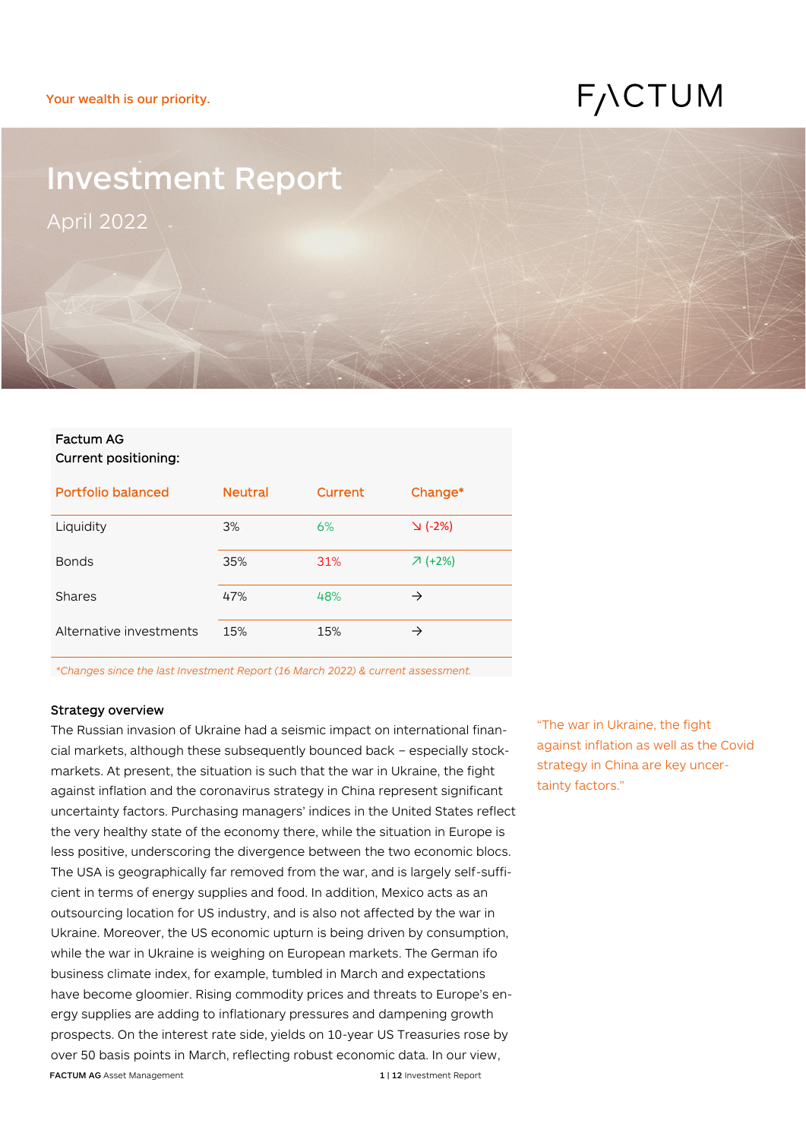# F<sub>/</sub>\CTUM

# Investment Report April 2022

### Factum AG Current positioning:

| Portfolio balanced      | <b>Neutral</b> | Current | Change*           |
|-------------------------|----------------|---------|-------------------|
| Liquidity               | 3%             | 6%      | $\setminus$ (-2%) |
| <b>Bonds</b>            | 35%            | 31%     | $7 (+2%)$         |
| Shares                  | 47%            | 48%     | $\rightarrow$     |
| Alternative investments | 15%            | 15%     | →                 |

*\*Changes since the last Investment Report (16 March 2022) & current assessment.*

#### Strategy overview

FACTUM AG Asset Management 1 12 Investment Report The Russian invasion of Ukraine had a seismic impact on international financial markets, although these subsequently bounced back – especially stockmarkets. At present, the situation is such that the war in Ukraine, the fight against inflation and the coronavirus strategy in China represent significant uncertainty factors. Purchasing managers' indices in the United States reflect the very healthy state of the economy there, while the situation in Europe is less positive, underscoring the divergence between the two economic blocs. The USA is geographically far removed from the war, and is largely self-sufficient in terms of energy supplies and food. In addition, Mexico acts as an outsourcing location for US industry, and is also not affected by the war in Ukraine. Moreover, the US economic upturn is being driven by consumption, while the war in Ukraine is weighing on European markets. The German ifo business climate index, for example, tumbled in March and expectations have become gloomier. Rising commodity prices and threats to Europe's energy supplies are adding to inflationary pressures and dampening growth prospects. On the interest rate side, yields on 10-year US Treasuries rose by over 50 basis points in March, reflecting robust economic data. In our view,

"The war in Ukraine, the fight against inflation as well as the Covid strategy in China are key uncertainty factors."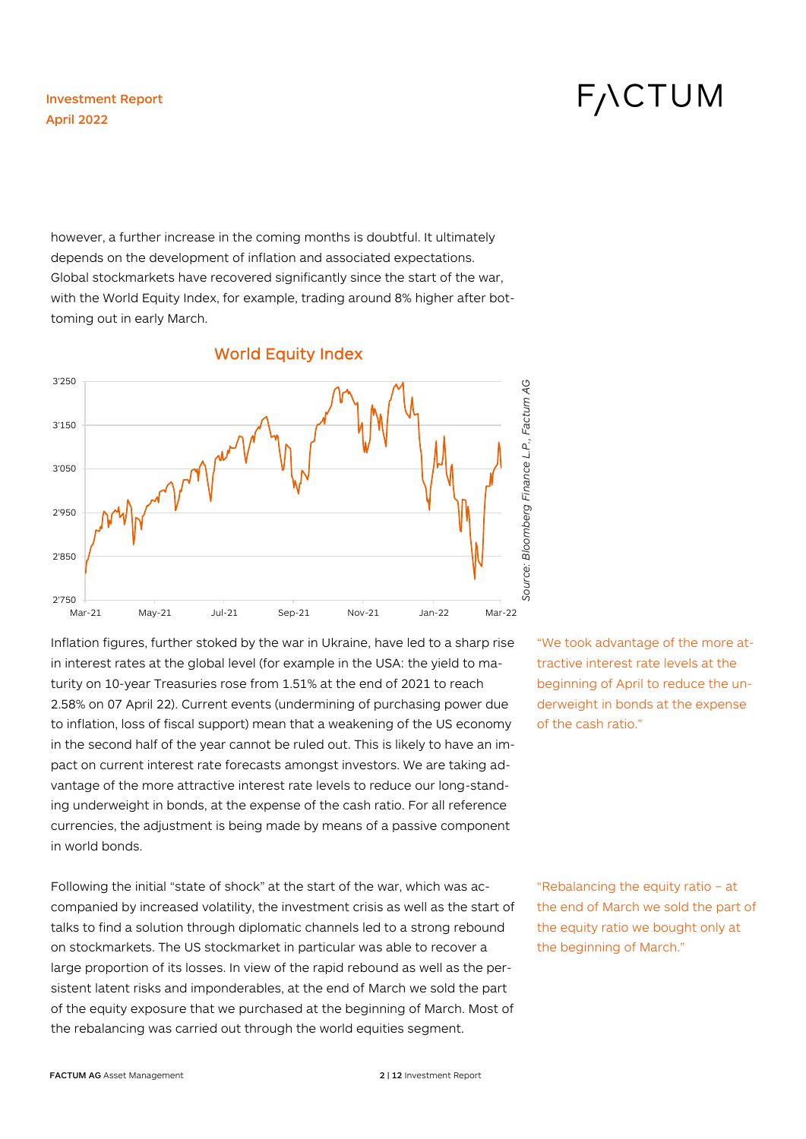however, a further increase in the coming months is doubtful. It ultimately depends on the development of inflation and associated expectations. Global stockmarkets have recovered significantly since the start of the war, with the World Equity Index, for example, trading around 8% higher after bottoming out in early March.



Inflation figures, further stoked by the war in Ukraine, have led to a sharp rise in interest rates at the global level (for example in the USA: the yield to maturity on 10-year Treasuries rose from 1.51% at the end of 2021 to reach 2.58% on 07 April 22). Current events (undermining of purchasing power due to inflation, loss of fiscal support) mean that a weakening of the US economy in the second half of the year cannot be ruled out. This is likely to have an impact on current interest rate forecasts amongst investors. We are taking advantage of the more attractive interest rate levels to reduce our long-standing underweight in bonds, at the expense of the cash ratio. For all reference currencies, the adjustment is being made by means of a passive component in world bonds.

Following the initial "state of shock" at the start of the war, which was accompanied by increased volatility, the investment crisis as well as the start of talks to find a solution through diplomatic channels led to a strong rebound on stockmarkets. The US stockmarket in particular was able to recover a large proportion of its losses. In view of the rapid rebound as well as the persistent latent risks and imponderables, at the end of March we sold the part of the equity exposure that we purchased at the beginning of March. Most of the rebalancing was carried out through the world equities segment.

# "We took advantage of the more attractive interest rate levels at the beginning of April to reduce the underweight in bonds at the expense of the cash ratio."

"Rebalancing the equity ratio – at the end of March we sold the part of the equity ratio we bought only at the beginning of March."

#### **FACTUM AG** Asset Management **2 | 12 Investment Report**

# **FACTUM**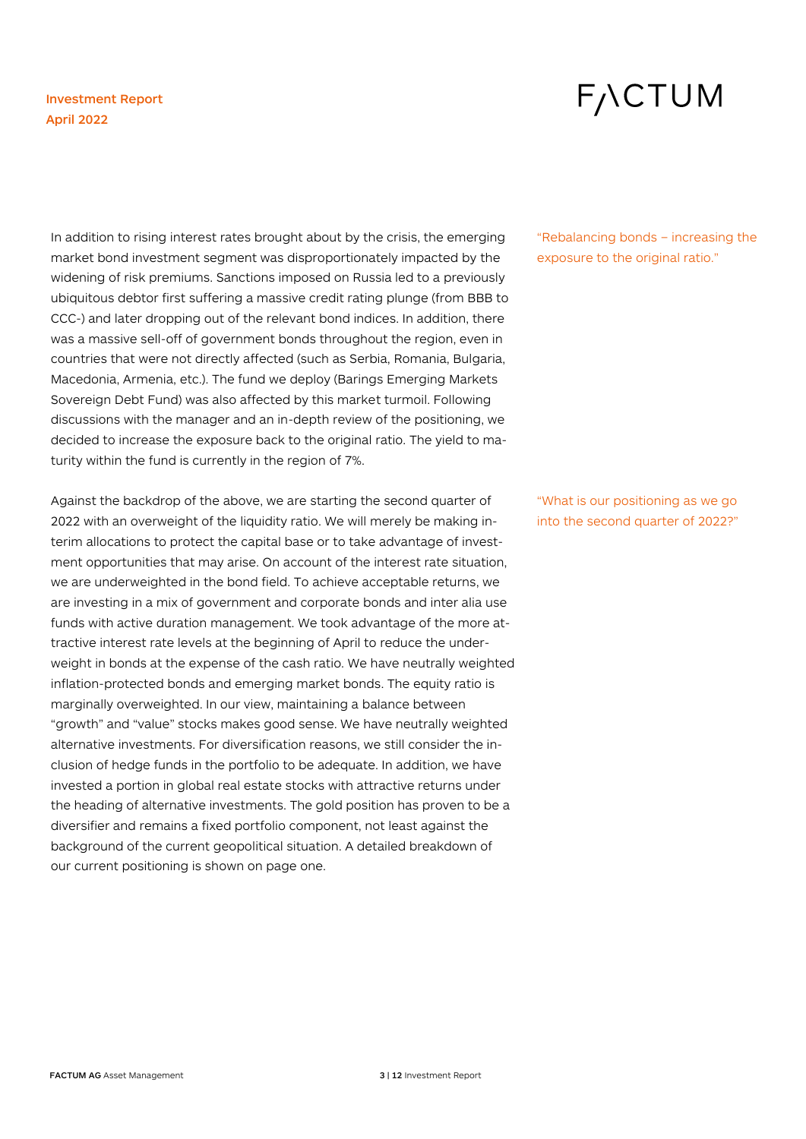# **FACTUM**

In addition to rising interest rates brought about by the crisis, the emerging market bond investment segment was disproportionately impacted by the widening of risk premiums. Sanctions imposed on Russia led to a previously ubiquitous debtor first suffering a massive credit rating plunge (from BBB to CCC-) and later dropping out of the relevant bond indices. In addition, there was a massive sell-off of government bonds throughout the region, even in countries that were not directly affected (such as Serbia, Romania, Bulgaria, Macedonia, Armenia, etc.). The fund we deploy (Barings Emerging Markets Sovereign Debt Fund) was also affected by this market turmoil. Following discussions with the manager and an in-depth review of the positioning, we decided to increase the exposure back to the original ratio. The yield to maturity within the fund is currently in the region of 7%.

Against the backdrop of the above, we are starting the second quarter of 2022 with an overweight of the liquidity ratio. We will merely be making interim allocations to protect the capital base or to take advantage of investment opportunities that may arise. On account of the interest rate situation, we are underweighted in the bond field. To achieve acceptable returns, we are investing in a mix of government and corporate bonds and inter alia use funds with active duration management. We took advantage of the more attractive interest rate levels at the beginning of April to reduce the underweight in bonds at the expense of the cash ratio. We have neutrally weighted inflation-protected bonds and emerging market bonds. The equity ratio is marginally overweighted. In our view, maintaining a balance between "growth" and "value" stocks makes good sense. We have neutrally weighted alternative investments. For diversification reasons, we still consider the inclusion of hedge funds in the portfolio to be adequate. In addition, we have invested a portion in global real estate stocks with attractive returns under the heading of alternative investments. The gold position has proven to be a diversifier and remains a fixed portfolio component, not least against the background of the current geopolitical situation. A detailed breakdown of our current positioning is shown on page one.

"Rebalancing bonds – increasing the exposure to the original ratio."

"What is our positioning as we go into the second quarter of 2022?"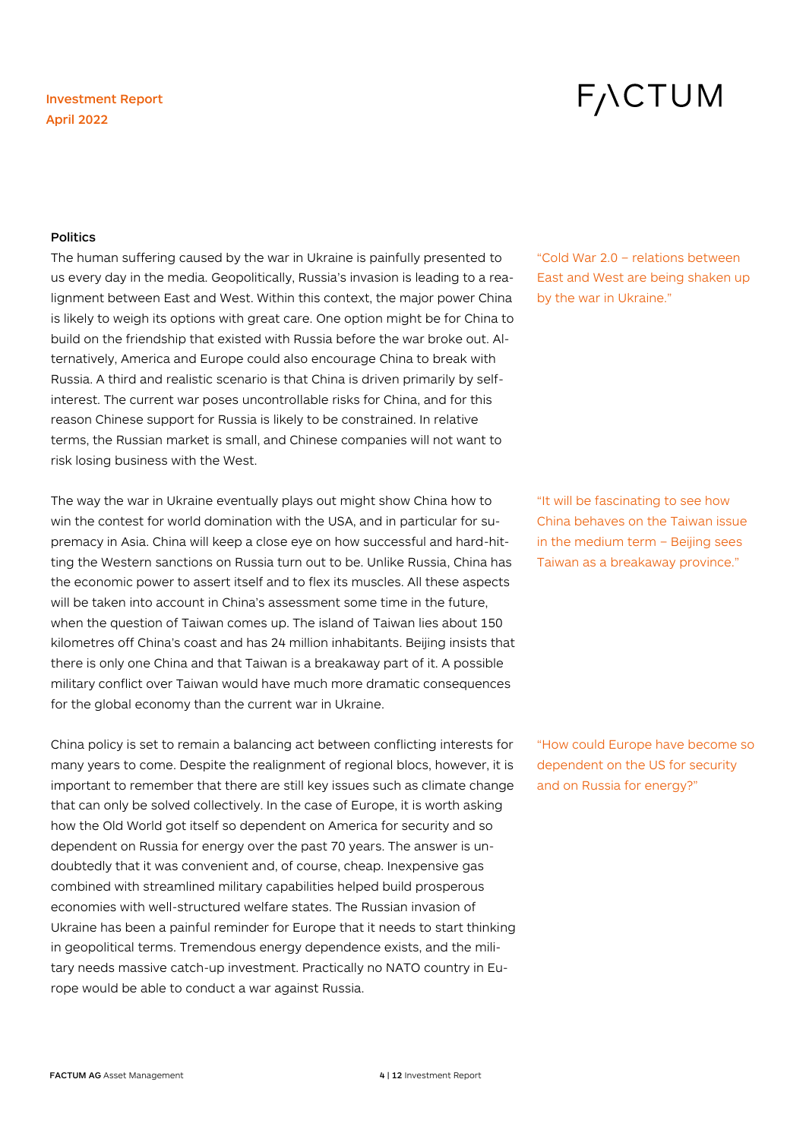# **FACTUM**

#### **Politics**

The human suffering caused by the war in Ukraine is painfully presented to us every day in the media. Geopolitically, Russia's invasion is leading to a realignment between East and West. Within this context, the major power China is likely to weigh its options with great care. One option might be for China to build on the friendship that existed with Russia before the war broke out. Alternatively, America and Europe could also encourage China to break with Russia. A third and realistic scenario is that China is driven primarily by selfinterest. The current war poses uncontrollable risks for China, and for this reason Chinese support for Russia is likely to be constrained. In relative terms, the Russian market is small, and Chinese companies will not want to risk losing business with the West.

The way the war in Ukraine eventually plays out might show China how to win the contest for world domination with the USA, and in particular for supremacy in Asia. China will keep a close eye on how successful and hard-hitting the Western sanctions on Russia turn out to be. Unlike Russia, China has the economic power to assert itself and to flex its muscles. All these aspects will be taken into account in China's assessment some time in the future, when the question of Taiwan comes up. The island of Taiwan lies about 150 kilometres off China's coast and has 24 million inhabitants. Beijing insists that there is only one China and that Taiwan is a breakaway part of it. A possible military conflict over Taiwan would have much more dramatic consequences for the global economy than the current war in Ukraine.

China policy is set to remain a balancing act between conflicting interests for many years to come. Despite the realignment of regional blocs, however, it is important to remember that there are still key issues such as climate change that can only be solved collectively. In the case of Europe, it is worth asking how the Old World got itself so dependent on America for security and so dependent on Russia for energy over the past 70 years. The answer is undoubtedly that it was convenient and, of course, cheap. Inexpensive gas combined with streamlined military capabilities helped build prosperous economies with well-structured welfare states. The Russian invasion of Ukraine has been a painful reminder for Europe that it needs to start thinking in geopolitical terms. Tremendous energy dependence exists, and the military needs massive catch-up investment. Practically no NATO country in Europe would be able to conduct a war against Russia.

"Cold War 2.0 – relations between East and West are being shaken up by the war in Ukraine."

"It will be fascinating to see how China behaves on the Taiwan issue in the medium term – Beijing sees Taiwan as a breakaway province."

"How could Europe have become so dependent on the US for security and on Russia for energy?"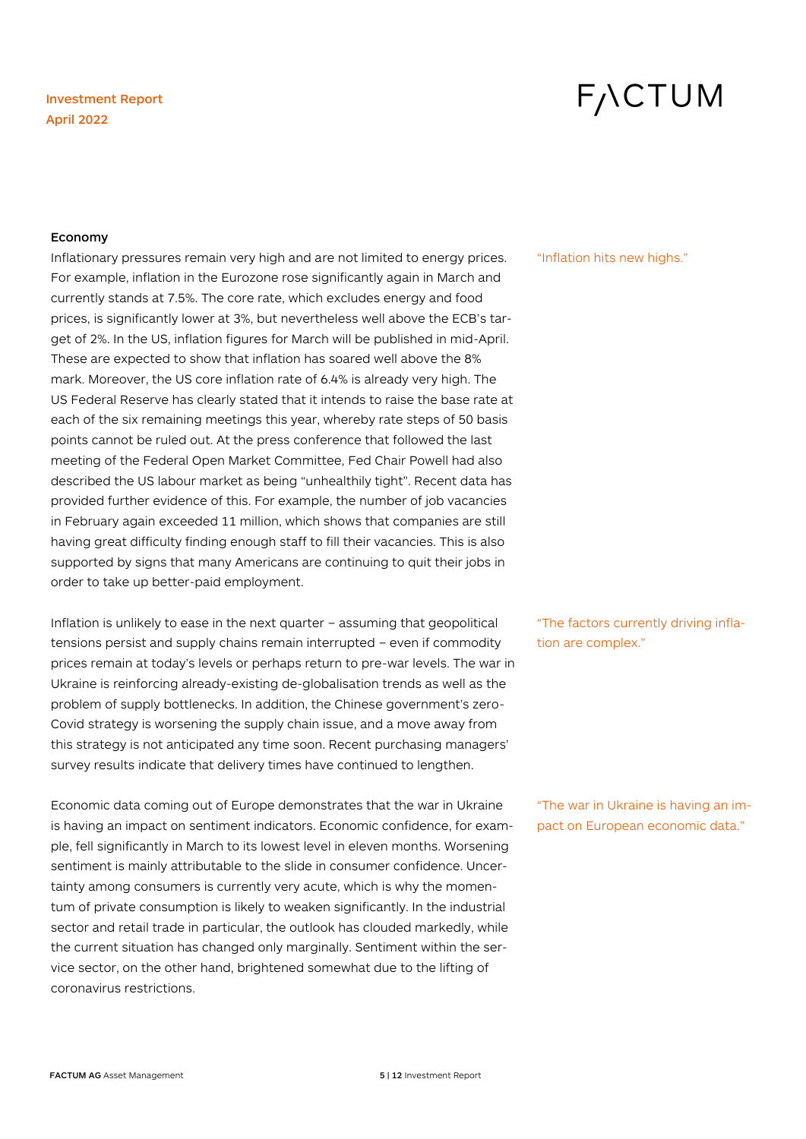# F<sub>/</sub>\CTUM

#### Economy

Inflationary pressures remain very high and are not limited to energy prices. For example, inflation in the Eurozone rose significantly again in March and currently stands at 7.5%. The core rate, which excludes energy and food prices, is significantly lower at 3%, but nevertheless well above the ECB's target of 2%. In the US, inflation figures for March will be published in mid-April. These are expected to show that inflation has soared well above the 8% mark. Moreover, the US core inflation rate of 6.4% is already very high. The US Federal Reserve has clearly stated that it intends to raise the base rate at each of the six remaining meetings this year, whereby rate steps of 50 basis points cannot be ruled out. At the press conference that followed the last meeting of the Federal Open Market Committee, Fed Chair Powell had also described the US labour market as being "unhealthily tight". Recent data has provided further evidence of this. For example, the number of job vacancies in February again exceeded 11 million, which shows that companies are still having great difficulty finding enough staff to fill their vacancies. This is also supported by signs that many Americans are continuing to quit their jobs in order to take up better-paid employment.

Inflation is unlikely to ease in the next quarter – assuming that geopolitical tensions persist and supply chains remain interrupted – even if commodity prices remain at today's levels or perhaps return to pre-war levels. The war in Ukraine is reinforcing already-existing de-globalisation trends as well as the problem of supply bottlenecks. In addition, the Chinese government's zero-Covid strategy is worsening the supply chain issue, and a move away from this strategy is not anticipated any time soon. Recent purchasing managers' survey results indicate that delivery times have continued to lengthen.

Economic data coming out of Europe demonstrates that the war in Ukraine is having an impact on sentiment indicators. Economic confidence, for example, fell significantly in March to its lowest level in eleven months. Worsening sentiment is mainly attributable to the slide in consumer confidence. Uncertainty among consumers is currently very acute, which is why the momentum of private consumption is likely to weaken significantly. In the industrial sector and retail trade in particular, the outlook has clouded markedly, while the current situation has changed only marginally. Sentiment within the service sector, on the other hand, brightened somewhat due to the lifting of coronavirus restrictions.

"Inflation hits new highs."

"The factors currently driving inflation are complex."

"The war in Ukraine is having an impact on European economic data."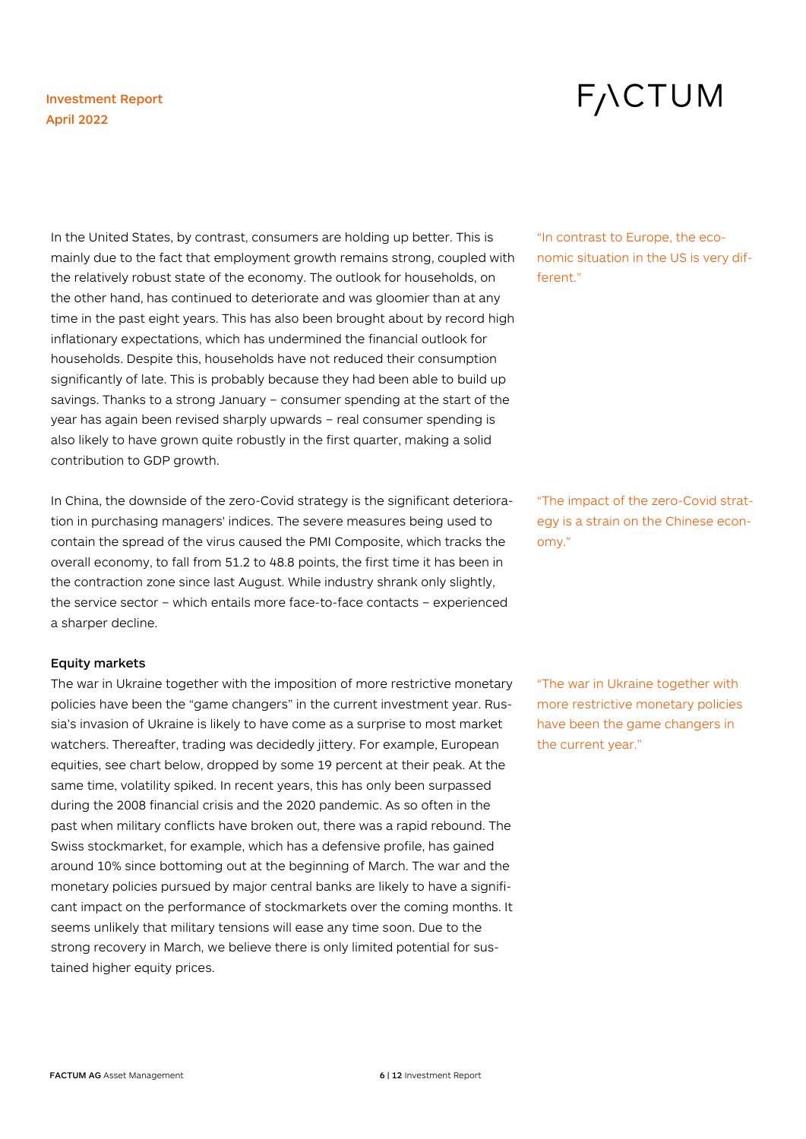# **FACTUM**

In the United States, by contrast, consumers are holding up better. This is mainly due to the fact that employment growth remains strong, coupled with the relatively robust state of the economy. The outlook for households, on the other hand, has continued to deteriorate and was gloomier than at any time in the past eight years. This has also been brought about by record high inflationary expectations, which has undermined the financial outlook for households. Despite this, households have not reduced their consumption significantly of late. This is probably because they had been able to build up savings. Thanks to a strong January – consumer spending at the start of the year has again been revised sharply upwards – real consumer spending is also likely to have grown quite robustly in the first quarter, making a solid contribution to GDP growth.

In China, the downside of the zero-Covid strategy is the significant deterioration in purchasing managers' indices. The severe measures being used to contain the spread of the virus caused the PMI Composite, which tracks the overall economy, to fall from 51.2 to 48.8 points, the first time it has been in the contraction zone since last August. While industry shrank only slightly, the service sector – which entails more face-to-face contacts – experienced a sharper decline.

#### Equity markets

The war in Ukraine together with the imposition of more restrictive monetary policies have been the "game changers" in the current investment year. Russia's invasion of Ukraine is likely to have come as a surprise to most market watchers. Thereafter, trading was decidedly jittery. For example, European equities, see chart below, dropped by some 19 percent at their peak. At the same time, volatility spiked. In recent years, this has only been surpassed during the 2008 financial crisis and the 2020 pandemic. As so often in the past when military conflicts have broken out, there was a rapid rebound. The Swiss stockmarket, for example, which has a defensive profile, has gained around 10% since bottoming out at the beginning of March. The war and the monetary policies pursued by major central banks are likely to have a significant impact on the performance of stockmarkets over the coming months. It seems unlikely that military tensions will ease any time soon. Due to the strong recovery in March, we believe there is only limited potential for sustained higher equity prices.

"In contrast to Europe, the economic situation in the US is very different."

"The impact of the zero-Covid strategy is a strain on the Chinese economy."

"The war in Ukraine together with more restrictive monetary policies have been the game changers in the current year."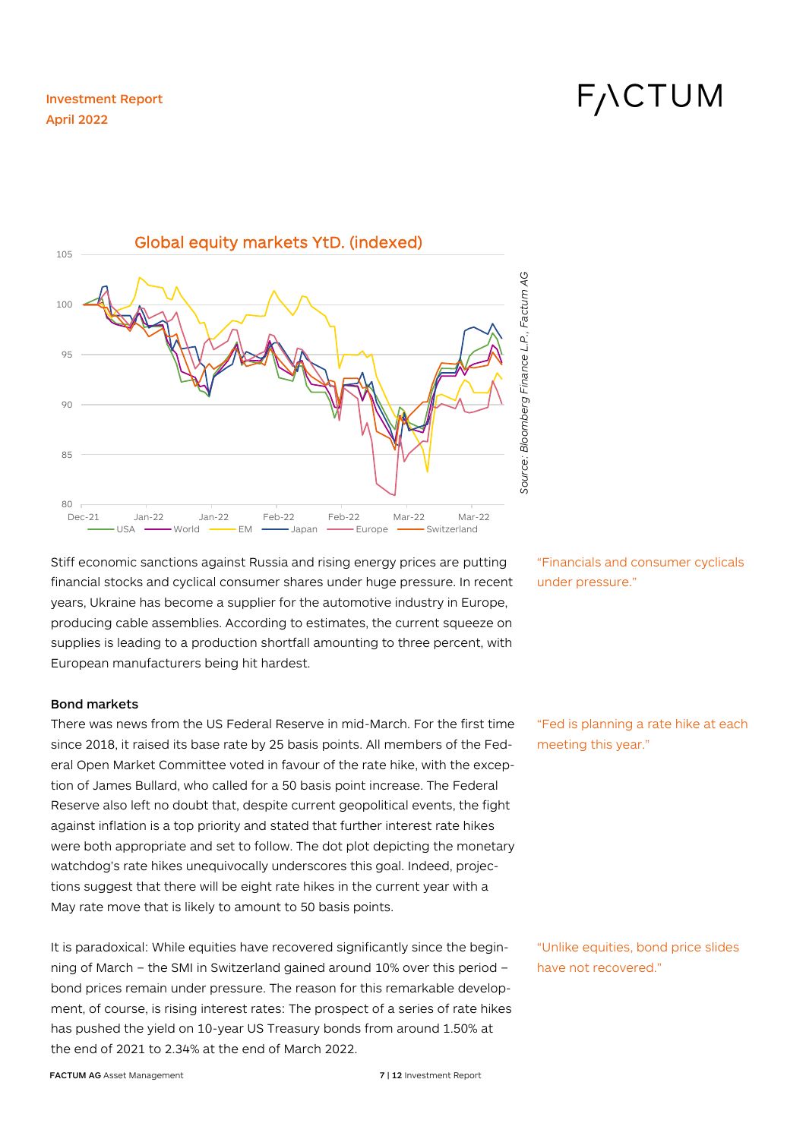F<sub>/</sub>\CTUM



Stiff economic sanctions against Russia and rising energy prices are putting financial stocks and cyclical consumer shares under huge pressure. In recent years, Ukraine has become a supplier for the automotive industry in Europe, producing cable assemblies. According to estimates, the current squeeze on supplies is leading to a production shortfall amounting to three percent, with European manufacturers being hit hardest.

#### Bond markets

There was news from the US Federal Reserve in mid-March. For the first time since 2018, it raised its base rate by 25 basis points. All members of the Federal Open Market Committee voted in favour of the rate hike, with the exception of James Bullard, who called for a 50 basis point increase. The Federal Reserve also left no doubt that, despite current geopolitical events, the fight against inflation is a top priority and stated that further interest rate hikes were both appropriate and set to follow. The dot plot depicting the monetary watchdog's rate hikes unequivocally underscores this goal. Indeed, projections suggest that there will be eight rate hikes in the current year with a May rate move that is likely to amount to 50 basis points.

It is paradoxical: While equities have recovered significantly since the beginning of March – the SMI in Switzerland gained around 10% over this period – bond prices remain under pressure. The reason for this remarkable development, of course, is rising interest rates: The prospect of a series of rate hikes has pushed the yield on 10-year US Treasury bonds from around 1.50% at the end of 2021 to 2.34% at the end of March 2022.

"Financials and consumer cyclicals under pressure."

"Fed is planning a rate hike at each meeting this year."

"Unlike equities, bond price slides have not recovered."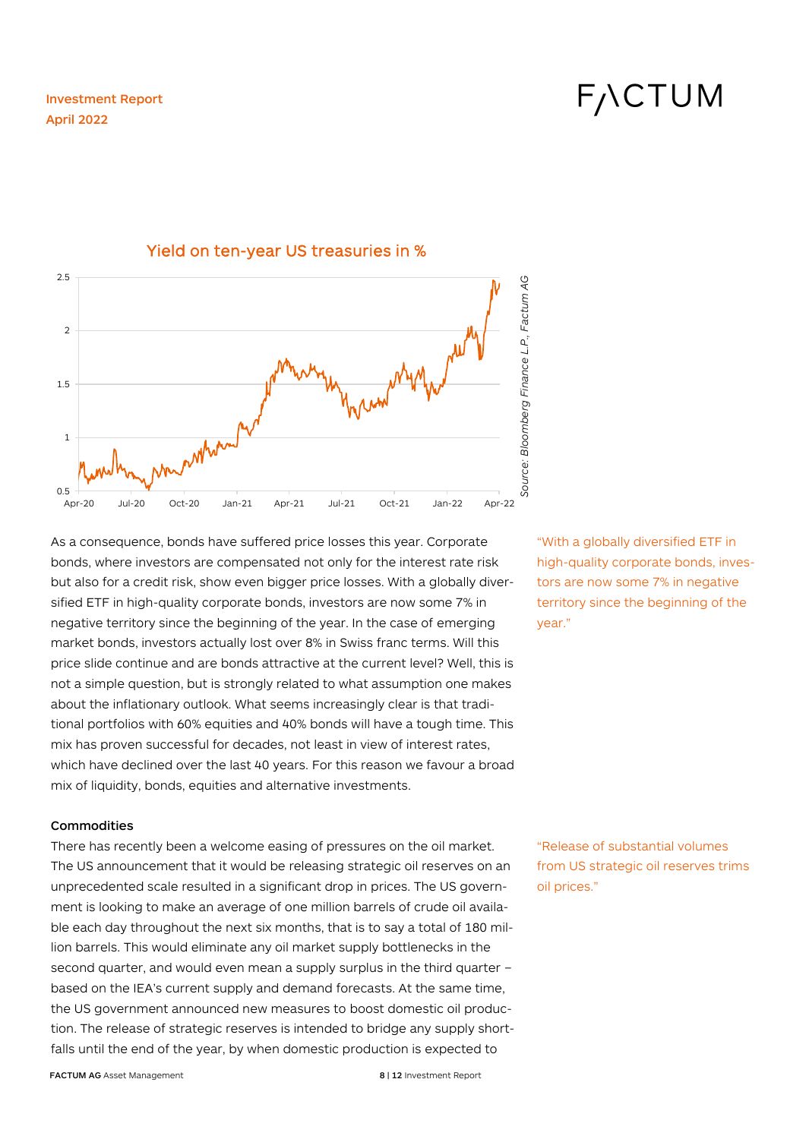# **FACTUM**



### Yield on ten-year US treasuries in %

As a consequence, bonds have suffered price losses this year. Corporate bonds, where investors are compensated not only for the interest rate risk but also for a credit risk, show even bigger price losses. With a globally diversified ETF in high-quality corporate bonds, investors are now some 7% in negative territory since the beginning of the year. In the case of emerging market bonds, investors actually lost over 8% in Swiss franc terms. Will this price slide continue and are bonds attractive at the current level? Well, this is not a simple question, but is strongly related to what assumption one makes about the inflationary outlook. What seems increasingly clear is that traditional portfolios with 60% equities and 40% bonds will have a tough time. This mix has proven successful for decades, not least in view of interest rates, which have declined over the last 40 years. For this reason we favour a broad mix of liquidity, bonds, equities and alternative investments.

#### **Commodities**

There has recently been a welcome easing of pressures on the oil market. The US announcement that it would be releasing strategic oil reserves on an unprecedented scale resulted in a significant drop in prices. The US government is looking to make an average of one million barrels of crude oil available each day throughout the next six months, that is to say a total of 180 million barrels. This would eliminate any oil market supply bottlenecks in the second quarter, and would even mean a supply surplus in the third quarter – based on the IEA's current supply and demand forecasts. At the same time, the US government announced new measures to boost domestic oil production. The release of strategic reserves is intended to bridge any supply shortfalls until the end of the year, by when domestic production is expected to

high-quality corporate bonds, investors are now some 7% in negative territory since the beginning of the year."

"With a globally diversified ETF in

"Release of substantial volumes from US strategic oil reserves trims oil prices."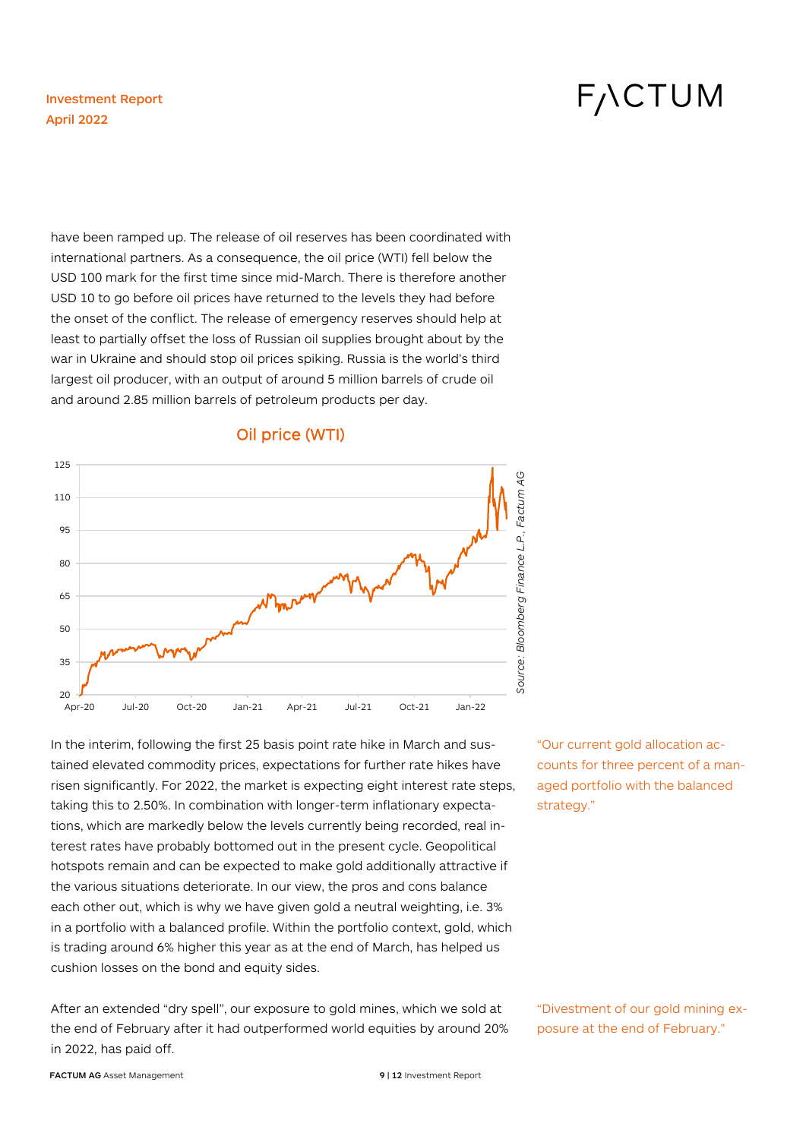# **FACTUM**

have been ramped up. The release of oil reserves has been coordinated with international partners. As a consequence, the oil price (WTI) fell below the USD 100 mark for the first time since mid-March. There is therefore another USD 10 to go before oil prices have returned to the levels they had before the onset of the conflict. The release of emergency reserves should help at least to partially offset the loss of Russian oil supplies brought about by the war in Ukraine and should stop oil prices spiking. Russia is the world's third largest oil producer, with an output of around 5 million barrels of crude oil and around 2.85 million barrels of petroleum products per day.



## Oil price (WTI)

In the interim, following the first 25 basis point rate hike in March and sustained elevated commodity prices, expectations for further rate hikes have risen significantly. For 2022, the market is expecting eight interest rate steps, taking this to 2.50%. In combination with longer-term inflationary expectations, which are markedly below the levels currently being recorded, real interest rates have probably bottomed out in the present cycle. Geopolitical hotspots remain and can be expected to make gold additionally attractive if the various situations deteriorate. In our view, the pros and cons balance each other out, which is why we have given gold a neutral weighting, i.e. 3% in a portfolio with a balanced profile. Within the portfolio context, gold, which is trading around 6% higher this year as at the end of March, has helped us cushion losses on the bond and equity sides.

After an extended "dry spell", our exposure to gold mines, which we sold at the end of February after it had outperformed world equities by around 20% in 2022, has paid off.

"Our current gold allocation accounts for three percent of a managed portfolio with the balanced strategy."

"Divestment of our gold mining exposure at the end of February."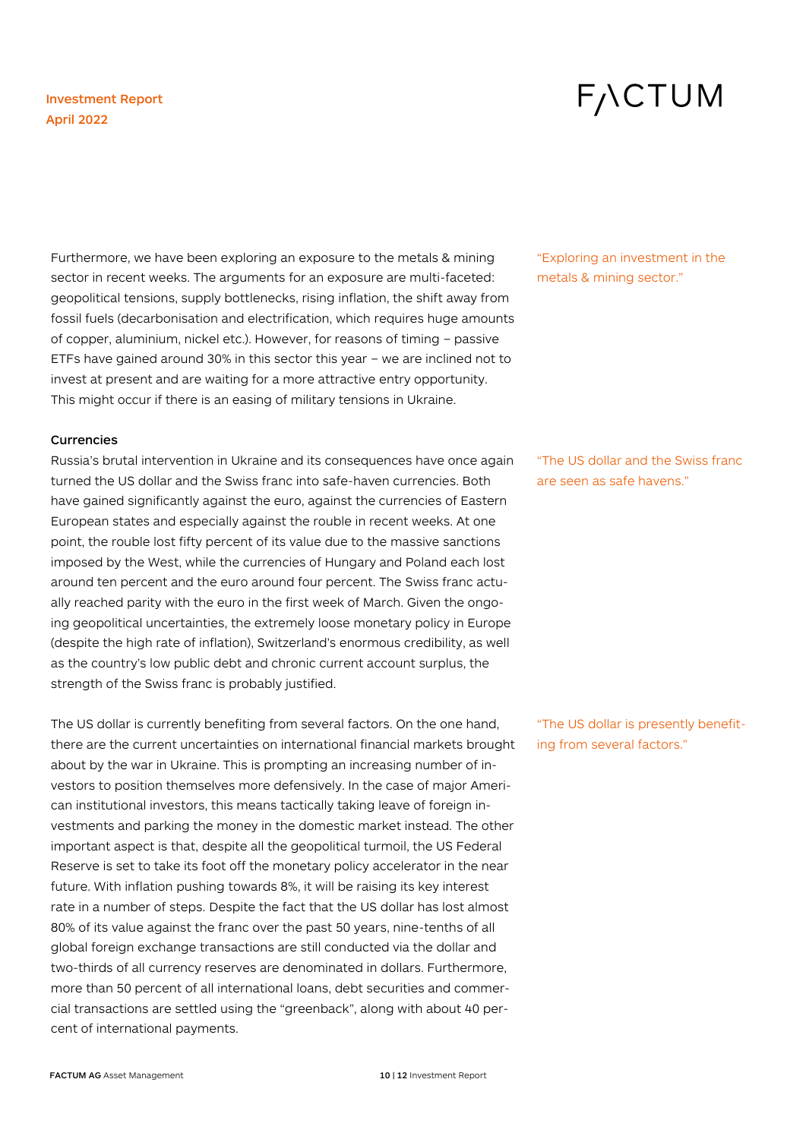# **FACTUM**

Furthermore, we have been exploring an exposure to the metals & mining sector in recent weeks. The arguments for an exposure are multi-faceted: geopolitical tensions, supply bottlenecks, rising inflation, the shift away from fossil fuels (decarbonisation and electrification, which requires huge amounts of copper, aluminium, nickel etc.). However, for reasons of timing – passive ETFs have gained around 30% in this sector this year – we are inclined not to invest at present and are waiting for a more attractive entry opportunity. This might occur if there is an easing of military tensions in Ukraine.

#### **Currencies**

Russia's brutal intervention in Ukraine and its consequences have once again turned the US dollar and the Swiss franc into safe-haven currencies. Both have gained significantly against the euro, against the currencies of Eastern European states and especially against the rouble in recent weeks. At one point, the rouble lost fifty percent of its value due to the massive sanctions imposed by the West, while the currencies of Hungary and Poland each lost around ten percent and the euro around four percent. The Swiss franc actually reached parity with the euro in the first week of March. Given the ongoing geopolitical uncertainties, the extremely loose monetary policy in Europe (despite the high rate of inflation), Switzerland's enormous credibility, as well as the country's low public debt and chronic current account surplus, the strength of the Swiss franc is probably justified.

The US dollar is currently benefiting from several factors. On the one hand, there are the current uncertainties on international financial markets brought about by the war in Ukraine. This is prompting an increasing number of investors to position themselves more defensively. In the case of major American institutional investors, this means tactically taking leave of foreign investments and parking the money in the domestic market instead. The other important aspect is that, despite all the geopolitical turmoil, the US Federal Reserve is set to take its foot off the monetary policy accelerator in the near future. With inflation pushing towards 8%, it will be raising its key interest rate in a number of steps. Despite the fact that the US dollar has lost almost 80% of its value against the franc over the past 50 years, nine-tenths of all global foreign exchange transactions are still conducted via the dollar and two-thirds of all currency reserves are denominated in dollars. Furthermore, more than 50 percent of all international loans, debt securities and commercial transactions are settled using the "greenback", along with about 40 percent of international payments.

"Exploring an investment in the metals & mining sector."

"The US dollar and the Swiss franc are seen as safe havens."

"The US dollar is presently benefiting from several factors."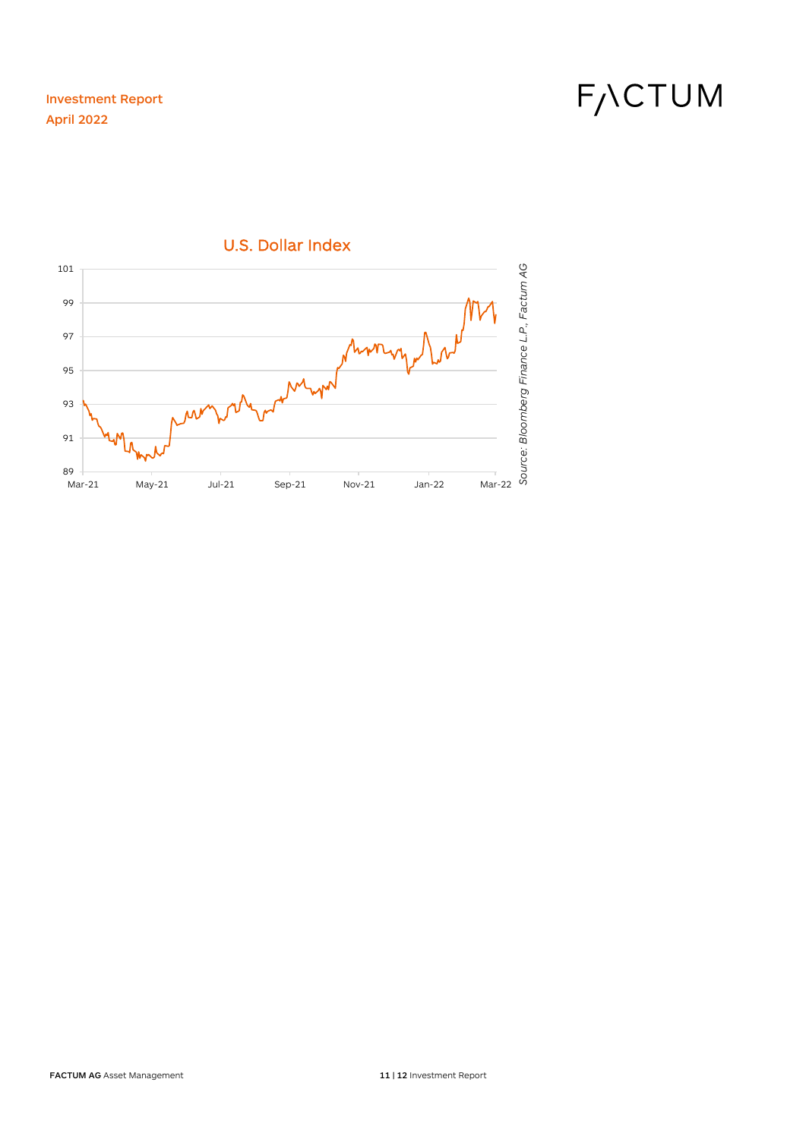F<sub>/</sub>\CTUM